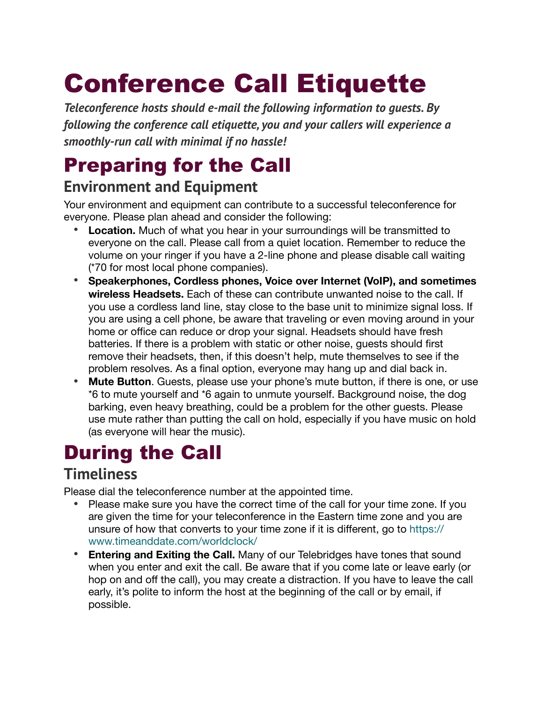# Conference Call Etiquette

*Teleconference hosts should e-mail the following information to guests. By following the conference call etiquette, you and your callers will experience a smoothly-run call with minimal if no hassle!*

### Preparing for the Call

### **Environment and Equipment**

Your environment and equipment can contribute to a successful teleconference for everyone. Please plan ahead and consider the following:

- **• Location.** Much of what you hear in your surroundings will be transmitted to everyone on the call. Please call from a quiet location. Remember to reduce the volume on your ringer if you have a 2-line phone and please disable call waiting (\*70 for most local phone companies).
- **• Speakerphones, Cordless phones, Voice over Internet (VoIP), and sometimes wireless Headsets.** Each of these can contribute unwanted noise to the call. If you use a cordless land line, stay close to the base unit to minimize signal loss. If you are using a cell phone, be aware that traveling or even moving around in your home or office can reduce or drop your signal. Headsets should have fresh batteries. If there is a problem with static or other noise, guests should first remove their headsets, then, if this doesn't help, mute themselves to see if the problem resolves. As a final option, everyone may hang up and dial back in.
- **• Mute Button**. Guests, please use your phone's mute button, if there is one, or use \*6 to mute yourself and \*6 again to unmute yourself. Background noise, the dog barking, even heavy breathing, could be a problem for the other guests. Please use mute rather than putting the call on hold, especially if you have music on hold (as everyone will hear the music).

## During the Call

### **Timeliness**

Please dial the teleconference number at the appointed time.

- **•** Please make sure you have the correct time of the call for your time zone. If you are given the time for your teleconference in the Eastern time zone and you are unsure of how that converts to your time zone if it is different, go to [https://](https://www.timeanddate.com/worldclock/) [www.timeanddate.com/worldclock/](https://www.timeanddate.com/worldclock/)
- **• Entering and Exiting the Call.** Many of our Telebridges have tones that sound when you enter and exit the call. Be aware that if you come late or leave early (or hop on and off the call), you may create a distraction. If you have to leave the call early, it's polite to inform the host at the beginning of the call or by email, if possible.